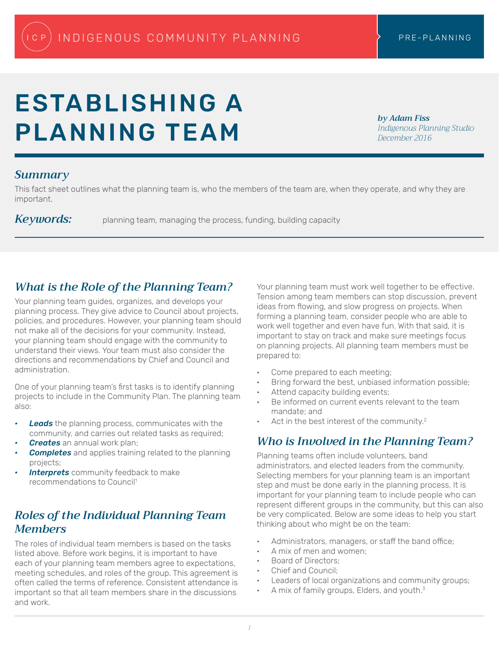# ESTABLISHING A PLANNING TEAM

*by Adam Fiss Indigenous Planning Studio December 2016*

#### *Summary*

This fact sheet outlines what the planning team is, who the members of the team are, when they operate, and why they are important.

Keywords: planning team, managing the process, funding, building capacity

#### *What is the Role of the Planning Team?*

Your planning team guides, organizes, and develops your planning process. They give advice to Council about projects, policies, and procedures. However, your planning team should not make all of the decisions for your community. Instead, your planning team should engage with the community to understand their views. Your team must also consider the directions and recommendations by Chief and Council and administration.

One of your planning team's first tasks is to identify planning projects to include in the Community Plan. The planning team also:

- *Leads* the planning process, communicates with the community, and carries out related tasks as required;
- *• Creates* an annual work plan;
- *Completes* and applies training related to the planning projects;
- *Interprets* community feedback to make recommendations to Council1

# *Roles of the Individual Planning Team Members*

The roles of individual team members is based on the tasks listed above. Before work begins, it is important to have each of your planning team members agree to expectations, meeting schedules, and roles of the group. This agreement is often called the terms of reference. Consistent attendance is important so that all team members share in the discussions and work.

Your planning team must work well together to be effective. Tension among team members can stop discussion, prevent ideas from flowing, and slow progress on projects. When forming a planning team, consider people who are able to work well together and even have fun. With that said, it is important to stay on track and make sure meetings focus on planning projects. All planning team members must be prepared to:

- Come prepared to each meeting;
- Bring forward the best, unbiased information possible;
- Attend capacity building events;
- Be informed on current events relevant to the team mandate; and
- Act in the best interest of the community.<sup>2</sup>

## *Who is Involved in the Planning Team?*

Planning teams often include volunteers, band administrators, and elected leaders from the community. Selecting members for your planning team is an important step and must be done early in the planning process. It is important for your planning team to include people who can represent different groups in the community, but this can also be very complicated. Below are some ideas to help you start thinking about who might be on the team:

- Administrators, managers, or staff the band office;
- A mix of men and women;
- Board of Directors;
- Chief and Council;
- Leaders of local organizations and community groups;
- A mix of family groups, Elders, and youth.<sup>3</sup>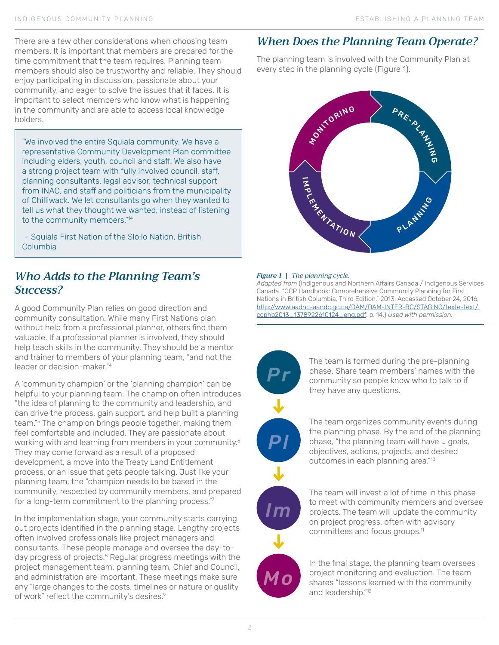There are a few other considerations when choosing team members. It is important that members are prepared for the time commitment that the team requires. Planning team members should also be trustworthy and reliable. They should enjoy participating in discussion, passionate about your community, and eager to solve the issues that it faces. It is important to select members who know what is happening in the community and are able to access local knowledge holders.

"We involved the entire Squiala community. We have a representative Community Development Plan committee including elders, youth, council and staff. We also have a strong project team with fully involved council, staff, planning consultants, legal advisor, technical support from INAC, and staff and politicians from the municipality of Chilliwack. We let consultants go when they wanted to tell us what they thought we wanted, instead of listening to the community members."14

 – Squiala First Nation of the Slo:lo Nation, British Columbia

#### *Who Adds to the Planning Team's Success?*

A good Community Plan relies on good direction and community consultation. While many First Nations plan without help from a professional planner, others find them valuable. If a professional planner is involved, they should help teach skills in the community. They should be a mentor and trainer to members of your planning team, "and not the leader or decision-maker."4

A 'community champion' or the 'planning champion' can be helpful to your planning team. The champion often introduces "the idea of planning to the community and leadership, and can drive the process, gain support, and help built a planning team."5 The champion brings people together, making them feel comfortable and included. They are passionate about working with and learning from members in your community.<sup>6</sup> They may come forward as a result of a proposed development, a move into the Treaty Land Entitlement process, or an issue that gets people talking. Just like your planning team, the "champion needs to be based in the community, respected by community members, and prepared for a long-term commitment to the planning process."7

In the implementation stage, your community starts carrying out projects identified in the planning stage. Lengthy projects often involved professionals like project managers and consultants. These people manage and oversee the day-today progress of projects.<sup>8</sup> Regular progress meetings with the project management team, planning team, Chief and Council, and administration are important. These meetings make sure any "large changes to the costs, timelines or nature or quality of work" reflect the community's desires.<sup>9</sup>

# *When Does the Planning Team Operate?*

The planning team is involved with the Community Plan at every step in the planning cycle (Figure 1).



#### *Figure 1 | The planning cycle.*

*Adapted from* (Indigenous and Northern Affairs Canada / Indigenous Services Canada. "CCP Handbook: Comprehensive Community Planning for First Nations in British Columbia, Third Edition." 2013. Accessed October 24, 2016, http://www.aadnc-aandc.gc.ca/DAM/DAM-INTER-BC/STAGING/texte-text/ ccphb2013\_1378922610124\_eng.pdf. p. 14.) *Used with permission.*



The team is formed during the pre-planning phase. Share team members' names with the community so people know who to talk to if they have any questions.

The team organizes community events during the planning phase. By the end of the planning phase, "the planning team will have … goals, objectives, actions, projects, and desired outcomes in each planning area."10



The team will invest a lot of time in this phase to meet with community members and oversee projects. The team will update the community on project progress, often with advisory committees and focus groups.11



In the final stage, the planning team oversees project monitoring and evaluation. The team shares "lessons learned with the community and leadership."<sup>12</sup>